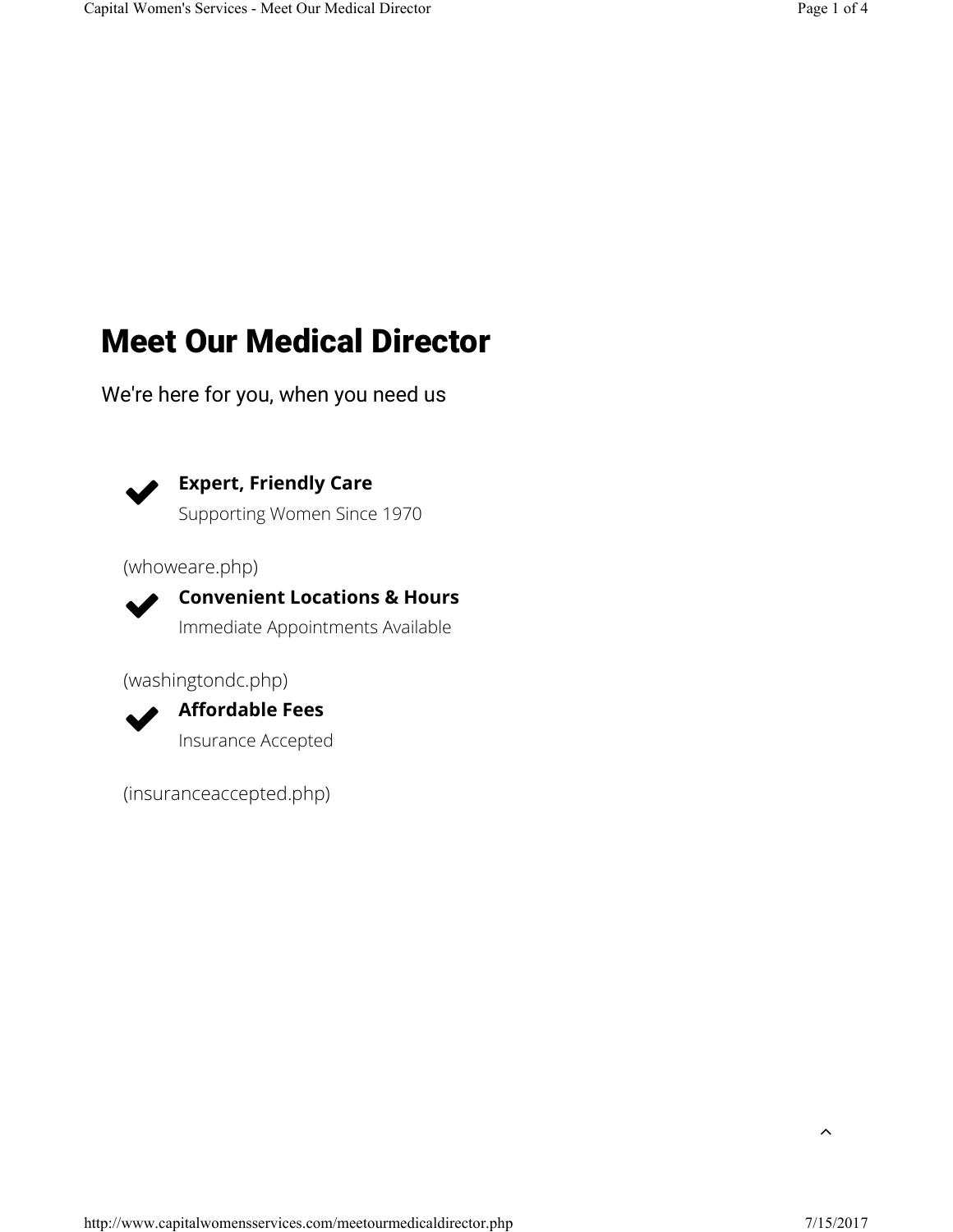# Meet Our Medical Director

We're here for you, when you need us



**Expert, Friendly Care**

Supporting Women Since 1970

(whoweare.php)



**Convenient Locations & Hours** Immediate Appointments Available

(washingtondc.php)



**Affordable Fees** Insurance Accepted

(insuranceaccepted.php)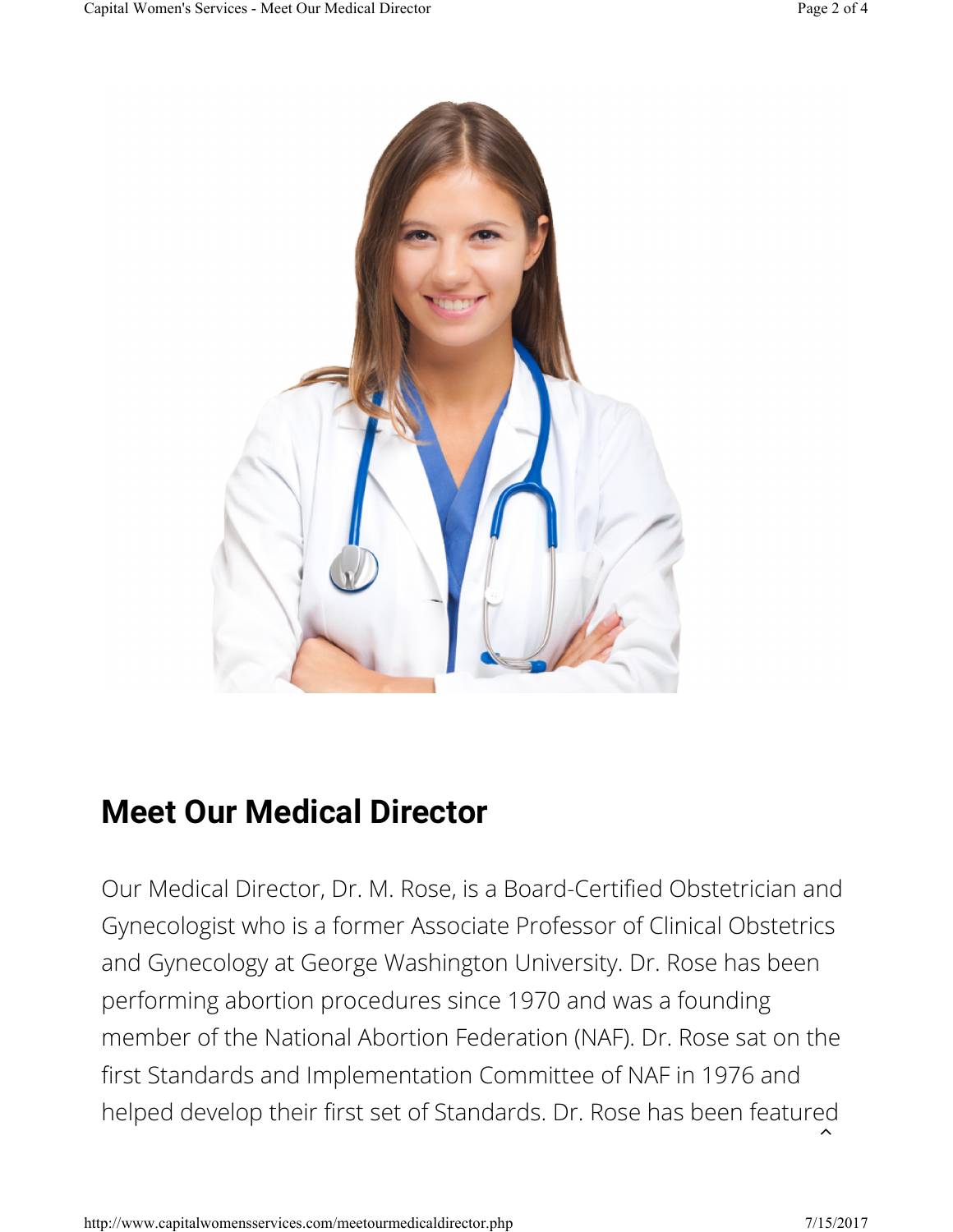

### **Meet Our Medical Director**

Our Medical Director, Dr. M. Rose, is a Board-Certified Obstetrician and Gynecologist who is a former Associate Professor of Clinical Obstetrics and Gynecology at George Washington University. Dr. Rose has been performing abortion procedures since 1970 and was a founding member of the National Abortion Federation (NAF). Dr. Rose sat on the first Standards and Implementation Committee of NAF in 1976 and helped develop their first set of Standards. Dr. Rose has been featured

 $\lambda$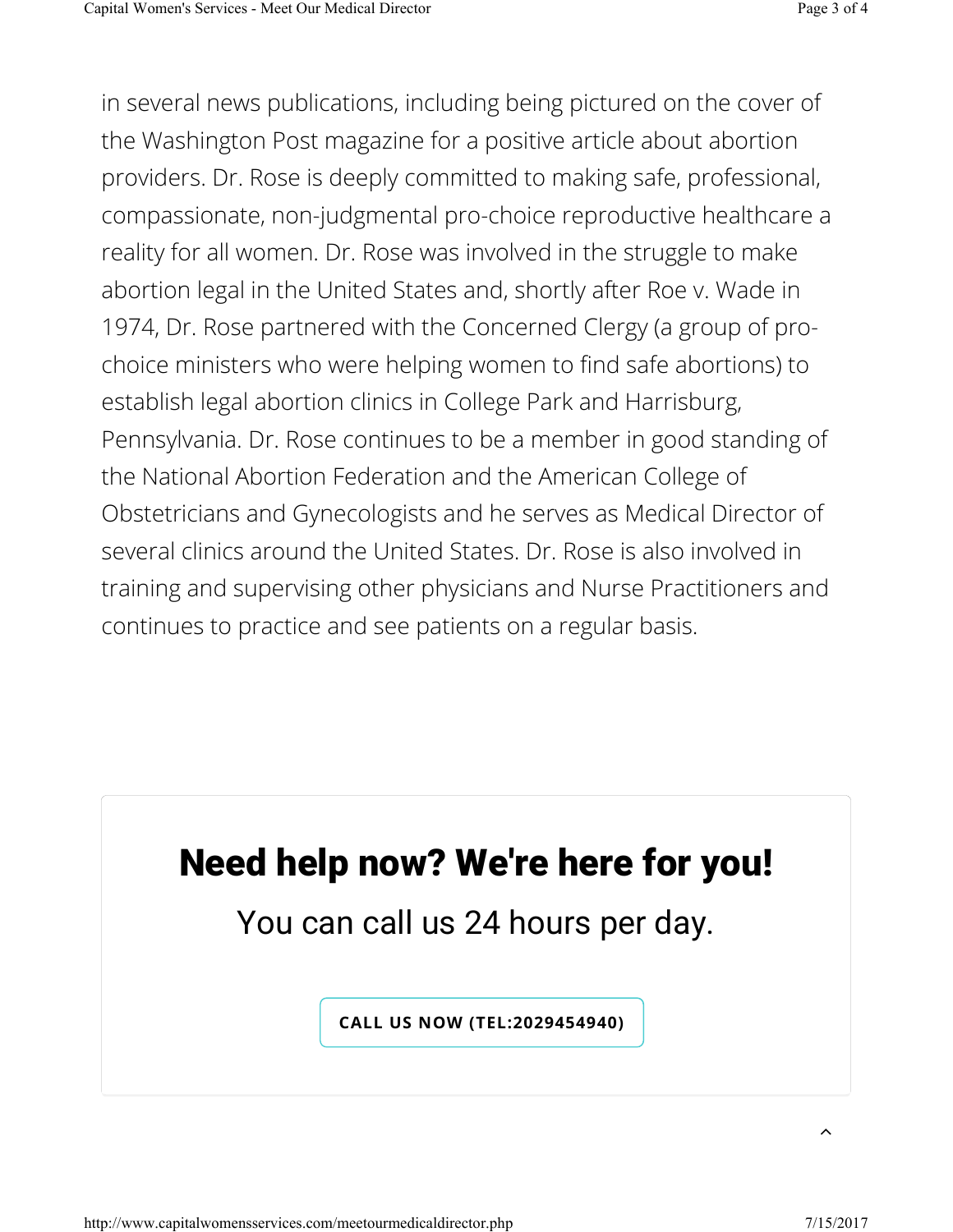in several news publications, including being pictured on the cover of the Washington Post magazine for a positive article about abortion providers. Dr. Rose is deeply committed to making safe, professional, compassionate, non-judgmental pro-choice reproductive healthcare a reality for all women. Dr. Rose was involved in the struggle to make abortion legal in the United States and, shortly after Roe v. Wade in 1974, Dr. Rose partnered with the Concerned Clergy (a group of prochoice ministers who were helping women to find safe abortions) to establish legal abortion clinics in College Park and Harrisburg, Pennsylvania. Dr. Rose continues to be a member in good standing of the National Abortion Federation and the American College of Obstetricians and Gynecologists and he serves as Medical Director of several clinics around the United States. Dr. Rose is also involved in training and supervising other physicians and Nurse Practitioners and continues to practice and see patients on a regular basis.

# Need help now? We're here for you!

You can call us 24 hours per day.

**CALL US NOW (TEL:2029454940)**

 $\lambda$